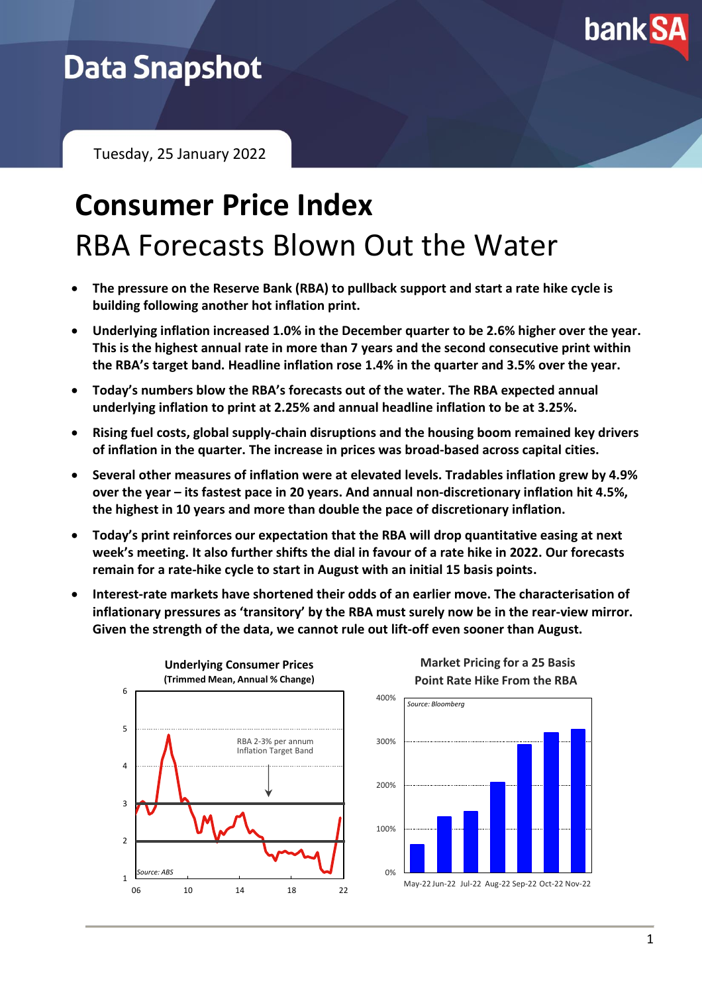

# **Data Snapshot**

Tuesday, 25 January 2022

# **Consumer Price Index** RBA Forecasts Blown Out the Water

- **The pressure on the Reserve Bank (RBA) to pullback support and start a rate hike cycle is building following another hot inflation print.**
- **Underlying inflation increased 1.0% in the December quarter to be 2.6% higher over the year. This is the highest annual rate in more than 7 years and the second consecutive print within the RBA's target band. Headline inflation rose 1.4% in the quarter and 3.5% over the year.**
- **Today's numbers blow the RBA's forecasts out of the water. The RBA expected annual underlying inflation to print at 2.25% and annual headline inflation to be at 3.25%.**
- **Rising fuel costs, global supply-chain disruptions and the housing boom remained key drivers of inflation in the quarter. The increase in prices was broad-based across capital cities.**
- **Several other measures of inflation were at elevated levels. Tradables inflation grew by 4.9% over the year – its fastest pace in 20 years. And annual non-discretionary inflation hit 4.5%, the highest in 10 years and more than double the pace of discretionary inflation.**
- **Today's print reinforces our expectation that the RBA will drop quantitative easing at next week's meeting. It also further shifts the dial in favour of a rate hike in 2022. Our forecasts remain for a rate-hike cycle to start in August with an initial 15 basis points.**
- **Interest-rate markets have shortened their odds of an earlier move. The characterisation of inflationary pressures as 'transitory' by the RBA must surely now be in the rear-view mirror. Given the strength of the data, we cannot rule out lift-off even sooner than August.**



**Market Pricing for a 25 Basis Point Rate Hike From the RBA**

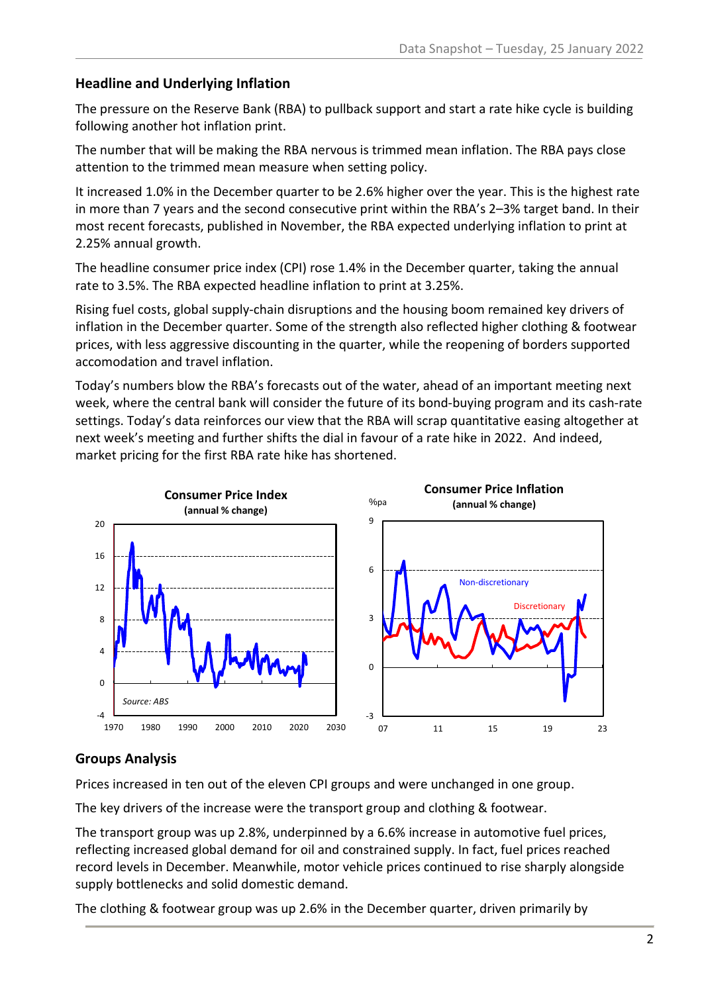## **Headline and Underlying Inflation**

The pressure on the Reserve Bank (RBA) to pullback support and start a rate hike cycle is building following another hot inflation print.

The number that will be making the RBA nervous is trimmed mean inflation. The RBA pays close attention to the trimmed mean measure when setting policy.

It increased 1.0% in the December quarter to be 2.6% higher over the year. This is the highest rate in more than 7 years and the second consecutive print within the RBA's 2–3% target band. In their most recent forecasts, published in November, the RBA expected underlying inflation to print at 2.25% annual growth.

The headline consumer price index (CPI) rose 1.4% in the December quarter, taking the annual rate to 3.5%. The RBA expected headline inflation to print at 3.25%.

Rising fuel costs, global supply-chain disruptions and the housing boom remained key drivers of inflation in the December quarter. Some of the strength also reflected higher clothing & footwear prices, with less aggressive discounting in the quarter, while the reopening of borders supported accomodation and travel inflation.

Today's numbers blow the RBA's forecasts out of the water, ahead of an important meeting next week, where the central bank will consider the future of its bond-buying program and its cash-rate settings. Today's data reinforces our view that the RBA will scrap quantitative easing altogether at next week's meeting and further shifts the dial in favour of a rate hike in 2022. And indeed, market pricing for the first RBA rate hike has shortened.



## **Groups Analysis**

Prices increased in ten out of the eleven CPI groups and were unchanged in one group.

The key drivers of the increase were the transport group and clothing & footwear.

The transport group was up 2.8%, underpinned by a 6.6% increase in automotive fuel prices, reflecting increased global demand for oil and constrained supply. In fact, fuel prices reached record levels in December. Meanwhile, motor vehicle prices continued to rise sharply alongside supply bottlenecks and solid domestic demand.

The clothing & footwear group was up 2.6% in the December quarter, driven primarily by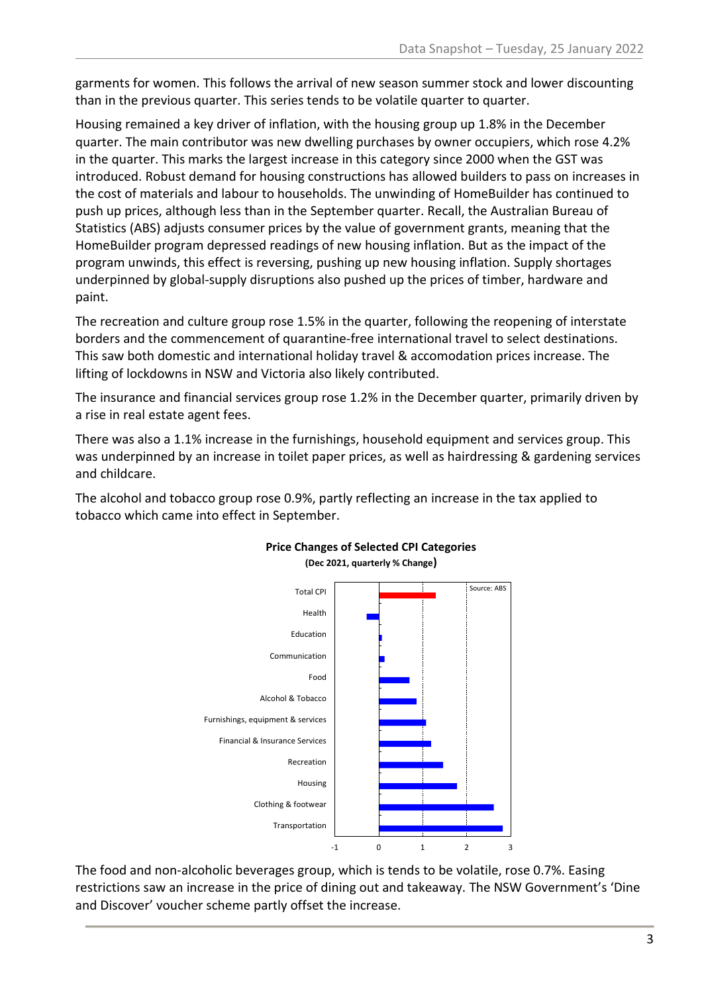garments for women. This follows the arrival of new season summer stock and lower discounting than in the previous quarter. This series tends to be volatile quarter to quarter.

Housing remained a key driver of inflation, with the housing group up 1.8% in the December quarter. The main contributor was new dwelling purchases by owner occupiers, which rose 4.2% in the quarter. This marks the largest increase in this category since 2000 when the GST was introduced. Robust demand for housing constructions has allowed builders to pass on increases in the cost of materials and labour to households. The unwinding of HomeBuilder has continued to push up prices, although less than in the September quarter. Recall, the Australian Bureau of Statistics (ABS) adjusts consumer prices by the value of government grants, meaning that the HomeBuilder program depressed readings of new housing inflation. But as the impact of the program unwinds, this effect is reversing, pushing up new housing inflation. Supply shortages underpinned by global-supply disruptions also pushed up the prices of timber, hardware and paint.

The recreation and culture group rose 1.5% in the quarter, following the reopening of interstate borders and the commencement of quarantine-free international travel to select destinations. This saw both domestic and international holiday travel & accomodation prices increase. The lifting of lockdowns in NSW and Victoria also likely contributed.

The insurance and financial services group rose 1.2% in the December quarter, primarily driven by a rise in real estate agent fees.

There was also a 1.1% increase in the furnishings, household equipment and services group. This was underpinned by an increase in toilet paper prices, as well as hairdressing & gardening services and childcare.

The alcohol and tobacco group rose 0.9%, partly reflecting an increase in the tax applied to tobacco which came into effect in September.



## **Price Changes of Selected CPI Categories (Dec 2021, quarterly % Change)**

The food and non-alcoholic beverages group, which is tends to be volatile, rose 0.7%. Easing restrictions saw an increase in the price of dining out and takeaway. The NSW Government's 'Dine and Discover' voucher scheme partly offset the increase.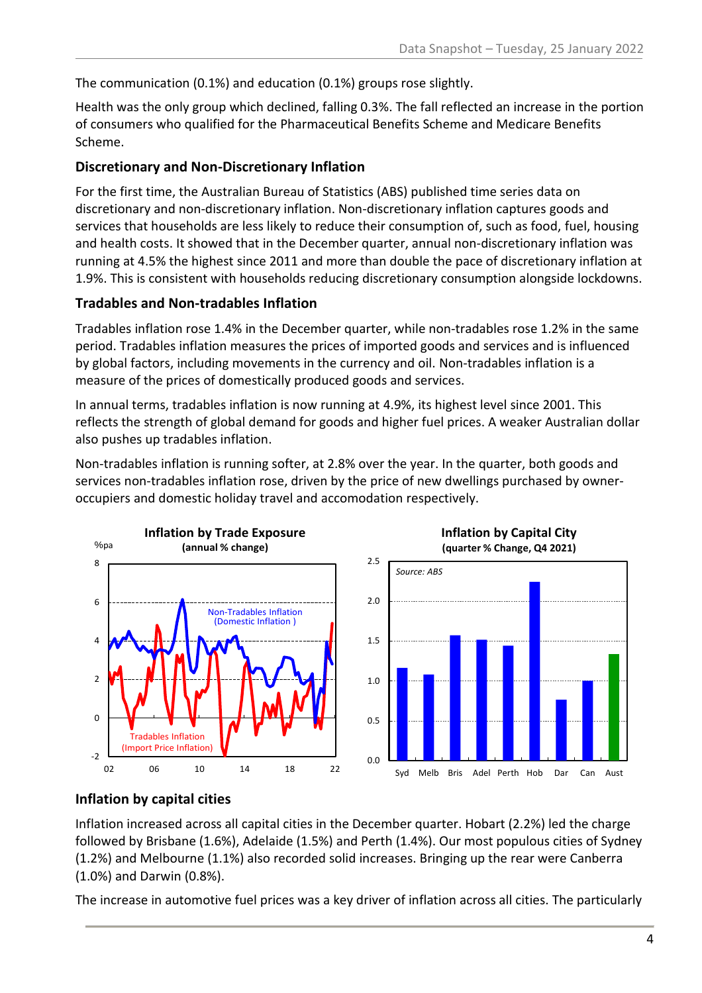The communication (0.1%) and education (0.1%) groups rose slightly.

Health was the only group which declined, falling 0.3%. The fall reflected an increase in the portion of consumers who qualified for the Pharmaceutical Benefits Scheme and Medicare Benefits Scheme.

## **Discretionary and Non-Discretionary Inflation**

For the first time, the Australian Bureau of Statistics (ABS) published time series data on discretionary and non-discretionary inflation. Non-discretionary inflation captures goods and services that households are less likely to reduce their consumption of, such as food, fuel, housing and health costs. It showed that in the December quarter, annual non-discretionary inflation was running at 4.5% the highest since 2011 and more than double the pace of discretionary inflation at 1.9%. This is consistent with households reducing discretionary consumption alongside lockdowns.

## **Tradables and Non-tradables Inflation**

Tradables inflation rose 1.4% in the December quarter, while non-tradables rose 1.2% in the same period. Tradables inflation measures the prices of imported goods and services and is influenced by global factors, including movements in the currency and oil. Non-tradables inflation is a measure of the prices of domestically produced goods and services.

In annual terms, tradables inflation is now running at 4.9%, its highest level since 2001. This reflects the strength of global demand for goods and higher fuel prices. A weaker Australian dollar also pushes up tradables inflation.

Non-tradables inflation is running softer, at 2.8% over the year. In the quarter, both goods and services non-tradables inflation rose, driven by the price of new dwellings purchased by owneroccupiers and domestic holiday travel and accomodation respectively.





Syd Melb Bris Adel Perth Hob Dar Can Aust

## **Inflation by Capital City**

## **Inflation by capital cities**

Inflation increased across all capital cities in the December quarter. Hobart (2.2%) led the charge followed by Brisbane (1.6%), Adelaide (1.5%) and Perth (1.4%). Our most populous cities of Sydney (1.2%) and Melbourne (1.1%) also recorded solid increases. Bringing up the rear were Canberra (1.0%) and Darwin (0.8%).

0.0

The increase in automotive fuel prices was a key driver of inflation across all cities. The particularly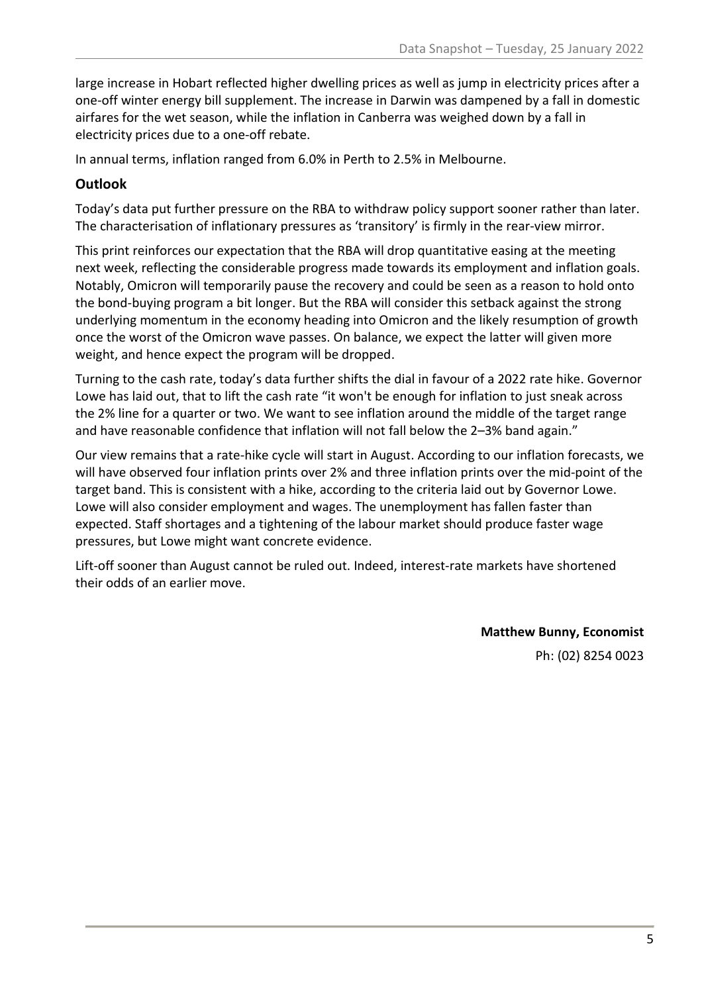large increase in Hobart reflected higher dwelling prices as well as jump in electricity prices after a one-off winter energy bill supplement. The increase in Darwin was dampened by a fall in domestic airfares for the wet season, while the inflation in Canberra was weighed down by a fall in electricity prices due to a one-off rebate.

In annual terms, inflation ranged from 6.0% in Perth to 2.5% in Melbourne.

## **Outlook**

Today's data put further pressure on the RBA to withdraw policy support sooner rather than later. The characterisation of inflationary pressures as 'transitory' is firmly in the rear-view mirror.

This print reinforces our expectation that the RBA will drop quantitative easing at the meeting next week, reflecting the considerable progress made towards its employment and inflation goals. Notably, Omicron will temporarily pause the recovery and could be seen as a reason to hold onto the bond-buying program a bit longer. But the RBA will consider this setback against the strong underlying momentum in the economy heading into Omicron and the likely resumption of growth once the worst of the Omicron wave passes. On balance, we expect the latter will given more weight, and hence expect the program will be dropped.

Turning to the cash rate, today's data further shifts the dial in favour of a 2022 rate hike. Governor Lowe has laid out, that to lift the cash rate "it won't be enough for inflation to just sneak across the 2% line for a quarter or two. We want to see inflation around the middle of the target range and have reasonable confidence that inflation will not fall below the 2–3% band again."

Our view remains that a rate-hike cycle will start in August. According to our inflation forecasts, we will have observed four inflation prints over 2% and three inflation prints over the mid-point of the target band. This is consistent with a hike, according to the criteria laid out by Governor Lowe. Lowe will also consider employment and wages. The unemployment has fallen faster than expected. Staff shortages and a tightening of the labour market should produce faster wage pressures, but Lowe might want concrete evidence.

Lift-off sooner than August cannot be ruled out. Indeed, interest-rate markets have shortened their odds of an earlier move.

> **Matthew Bunny, Economist** Ph: (02) 8254 0023